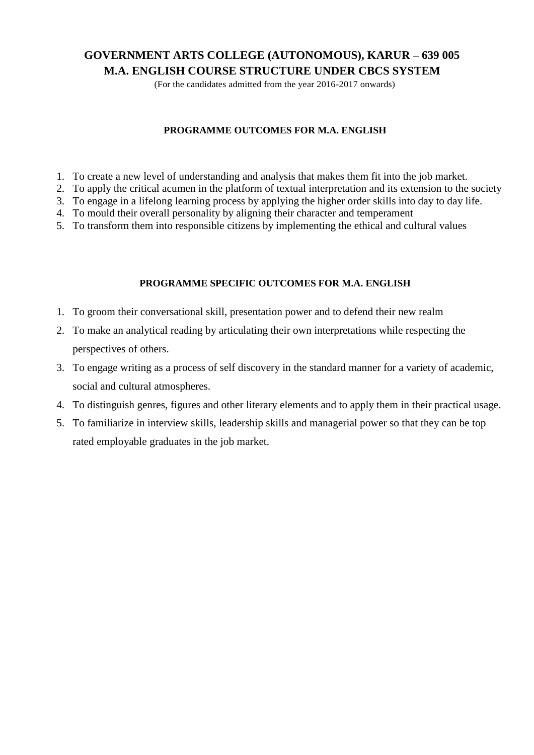## **GOVERNMENT ARTS COLLEGE (AUTONOMOUS), KARUR – 639 005 M.A. ENGLISH COURSE STRUCTURE UNDER CBCS SYSTEM**

(For the candidates admitted from the year 2016-2017 onwards)

## **PROGRAMME OUTCOMES FOR M.A. ENGLISH**

- 1. To create a new level of understanding and analysis that makes them fit into the job market.
- 2. To apply the critical acumen in the platform of textual interpretation and its extension to the society
- 3. To engage in a lifelong learning process by applying the higher order skills into day to day life.
- 4. To mould their overall personality by aligning their character and temperament
- 5. To transform them into responsible citizens by implementing the ethical and cultural values

## **PROGRAMME SPECIFIC OUTCOMES FOR M.A. ENGLISH**

- 1. To groom their conversational skill, presentation power and to defend their new realm
- 2. To make an analytical reading by articulating their own interpretations while respecting the perspectives of others.
- 3. To engage writing as a process of self discovery in the standard manner for a variety of academic, social and cultural atmospheres.
- 4. To distinguish genres, figures and other literary elements and to apply them in their practical usage.
- 5. To familiarize in interview skills, leadership skills and managerial power so that they can be top rated employable graduates in the job market.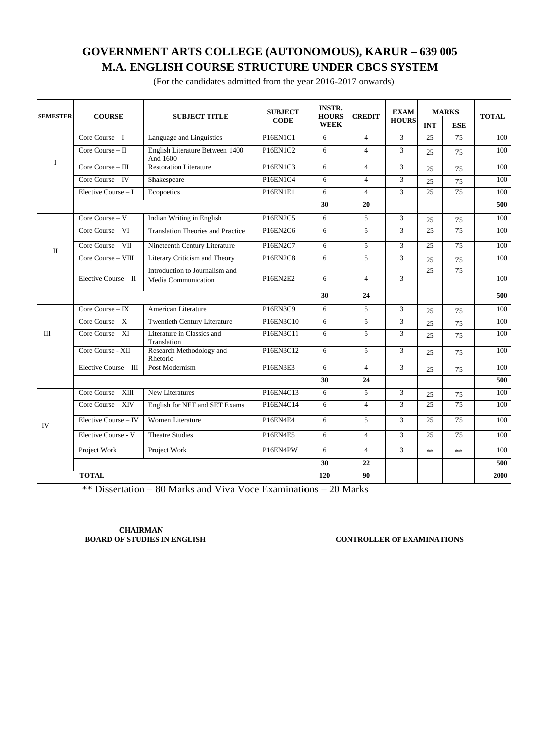# **GOVERNMENT ARTS COLLEGE (AUTONOMOUS), KARUR – 639 005 M.A. ENGLISH COURSE STRUCTURE UNDER CBCS SYSTEM**

(For the candidates admitted from the year 2016-2017 onwards)

| <b>SEMESTER</b> | <b>COURSE</b>          | <b>SUBJECT TITLE</b>                                  | <b>SUBJECT</b><br><b>CODE</b>   | <b>INSTR.</b><br><b>HOURS</b><br><b>WEEK</b> | <b>CREDIT</b>  | <b>EXAM</b><br><b>HOURS</b> | <b>MARKS</b> |                 | <b>TOTAL</b> |
|-----------------|------------------------|-------------------------------------------------------|---------------------------------|----------------------------------------------|----------------|-----------------------------|--------------|-----------------|--------------|
|                 |                        |                                                       |                                 |                                              |                |                             | <b>INT</b>   | <b>ESE</b>      |              |
|                 | Core Course $-1$       | Language and Linguistics                              | P <sub>16EN<sub>1C1</sub></sub> | 6                                            | $\overline{4}$ | $\overline{3}$              | 25           | $\overline{75}$ | 100          |
| $\bf{I}$        | Core Course $-$ II     | English Literature Between 1400<br>And 1600           | P16EN1C2                        | 6                                            | $\overline{4}$ | 3                           | 25           | 75              | 100          |
|                 | Core Course - III      | <b>Restoration Literature</b>                         | P16EN1C3                        | 6                                            | $\overline{4}$ | 3                           | 25           | 75              | 100          |
|                 | Core Course $-$ IV     | Shakespeare                                           | P16EN1C4                        | 6                                            | $\overline{4}$ | 3                           | 25           | 75              | 100          |
|                 | Elective Course - I    | Ecopoetics                                            | P16EN1E1                        | 6                                            | $\overline{4}$ | 3                           | 25           | 75              | 100          |
|                 |                        |                                                       |                                 | $\overline{30}$                              | 20             |                             |              |                 | 500          |
|                 | Core Course $- V$      | Indian Writing in English                             | P16EN2C5                        | 6                                            | 5              | 3                           | 25           | 75              | 100          |
|                 | Core Course - VI       | <b>Translation Theories and Practice</b>              | P16EN2C6                        | 6                                            | 5              | $\overline{3}$              | 25           | $\overline{75}$ | 100          |
| $\Pi$           | Core Course - VII      | Nineteenth Century Literature                         | P16EN2C7                        | 6                                            | $\mathfrak{F}$ | 3                           | 25           | $\overline{75}$ | 100          |
|                 | Core Course - VIII     | Literary Criticism and Theory                         | <b>P16EN2C8</b>                 | 6                                            | 5              | 3                           | 25           | 75              | 100          |
|                 | Elective Course $-$ II | Introduction to Journalism and<br>Media Communication | P16EN2E2                        | 6                                            | $\overline{4}$ | 3                           | 25           | 75              | 100          |
|                 |                        |                                                       |                                 | 30                                           | 24             |                             |              |                 | 500          |
|                 | Core Course $-$ IX     | American Literature                                   | P16EN3C9                        | 6                                            | 5              | 3                           | 25           | 75              | 100          |
|                 | Core Course $- X$      | <b>Twentieth Century Literature</b>                   | P16EN3C10                       | 6                                            | 5              | 3                           | 25           | 75              | 100          |
| III             | Core Course $- XI$     | Literature in Classics and<br>Translation             | P16EN3C11                       | 6                                            | $\overline{5}$ | $\overline{3}$              | 25           | 75              | 100          |
|                 | Core Course - XII      | Research Methodology and<br>Rhetoric                  | P16EN3C12                       | 6                                            | $\mathfrak{F}$ | 3                           | 25           | 75              | 100          |
|                 | Elective Course - III  | Post Modernism                                        | P16EN3E3                        | 6                                            | $\overline{4}$ | 3                           | 25           | 75              | 100          |
|                 |                        |                                                       |                                 | 30                                           | 24             |                             |              |                 | 500          |
|                 | Core Course - XIII     | New Literatures                                       | P16EN4C13                       | 6                                            | 5              | 3                           | 25           | 75              | 100          |
| IV              | Core Course - XIV      | English for NET and SET Exams                         | P16EN4C14                       | 6                                            | $\overline{4}$ | $\overline{3}$              | 25           | $\overline{75}$ | 100          |
|                 | Elective Course - IV   | Women Literature                                      | P16EN4E4                        | 6                                            | 5              | 3                           | 25           | 75              | 100          |
|                 | Elective Course - V    | <b>Theatre Studies</b>                                | P16EN4E5                        | 6                                            | $\overline{4}$ | 3                           | 25           | 75              | 100          |
|                 | Project Work           | Project Work                                          | P16EN4PW                        | 6                                            | $\overline{4}$ | 3                           | $**$         | $**$            | 100          |
|                 |                        |                                                       |                                 | 30                                           | 22             |                             |              |                 | 500          |
|                 | <b>TOTAL</b>           |                                                       |                                 | 120                                          | 90             |                             |              |                 | 2000         |

\*\* Dissertation – 80 Marks and Viva Voce Examinations – 20 Marks

**CHAIRMAN<br>BOARD OF STUDIES IN ENGLISH** 

**BOARD OF STUDIES IN ENGLISH CONTROLLER OF EXAMINATIONS**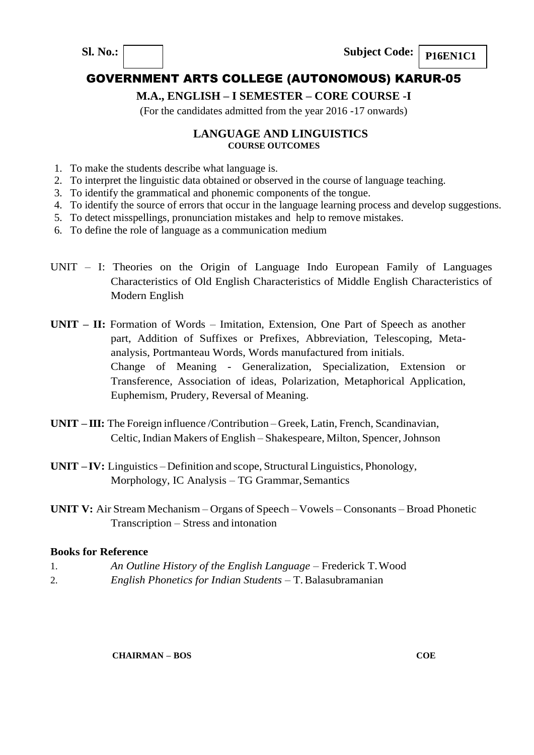## **M.A., ENGLISH – I SEMESTER – CORE COURSE -I**

(For the candidates admitted from the year 2016 -17 onwards)

#### **LANGUAGE AND LINGUISTICS COURSE OUTCOMES**

- 1. To make the students describe what language is.
- 2. To interpret the linguistic data obtained or observed in the course of language teaching.
- 3. To identify the grammatical and phonemic components of the tongue.
- 4. To identify the source of errors that occur in the language learning process and develop suggestions.
- 5. To detect misspellings, pronunciation mistakes and help to remove mistakes.
- 6. To define the role of language as a communication medium
- UNIT I: Theories on the Origin of Language Indo European Family of Languages Characteristics of Old English Characteristics of Middle English Characteristics of Modern English
- **UNIT – II:** Formation of Words Imitation, Extension, One Part of Speech as another part, Addition of Suffixes or Prefixes, Abbreviation, Telescoping, Metaanalysis, Portmanteau Words, Words manufactured from initials. Change of Meaning - Generalization, Specialization, Extension or Transference, Association of ideas, Polarization, Metaphorical Application, Euphemism, Prudery, Reversal of Meaning.
- **UNIT – III:** The Foreign influence /Contribution Greek, Latin, French, Scandinavian, Celtic, Indian Makers of English – Shakespeare, Milton, Spencer,Johnson
- **UNIT – IV:** Linguistics Definition and scope, Structural Linguistics, Phonology, Morphology, IC Analysis – TG Grammar, Semantics
- **UNIT V:** Air Stream Mechanism Organs of Speech Vowels Consonants Broad Phonetic Transcription – Stress and intonation

#### **Books for Reference**

- 1. *An Outline History of the English Language*  Frederick T.Wood
- 2. *English Phonetics for Indian Students*  T.Balasubramanian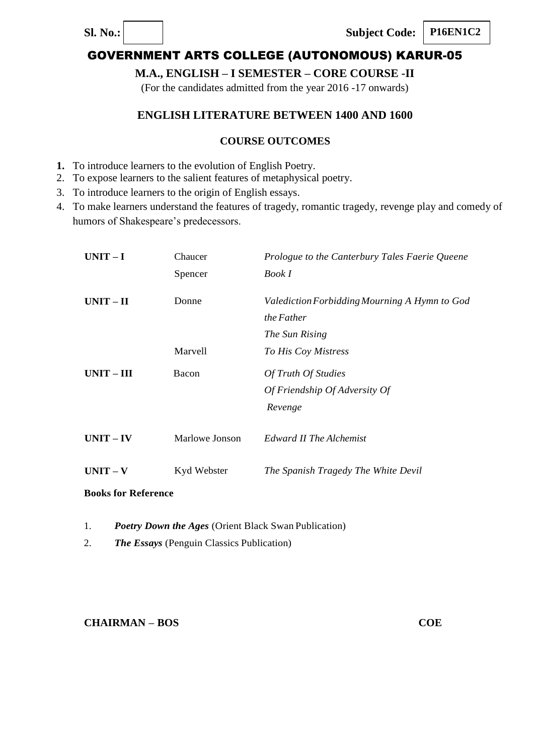**P16EN1C2**

# GOVERNMENT ARTS COLLEGE (AUTONOMOUS) KARUR-05

## **M.A., ENGLISH – I SEMESTER – CORE COURSE -II**

(For the candidates admitted from the year 2016 -17 onwards)

## **ENGLISH LITERATURE BETWEEN 1400 AND 1600**

## **COURSE OUTCOMES**

- **1.** To introduce learners to the evolution of English Poetry.
- 2. To expose learners to the salient features of metaphysical poetry.
- 3. To introduce learners to the origin of English essays.
- 4. To make learners understand the features of tragedy, romantic tragedy, revenge play and comedy of humors of Shakespeare's predecessors.

| $UNIT-I$                   | Chaucer        | Prologue to the Canterbury Tales Faerie Queene |
|----------------------------|----------------|------------------------------------------------|
|                            | Spencer        | Book I                                         |
| $UNIT-II$                  | Donne          | Valediction Forbidding Mourning A Hymn to God  |
|                            |                | the Father                                     |
|                            |                | The Sun Rising                                 |
|                            | Marvell        | To His Coy Mistress                            |
| $UNIT - III$               | Bacon          | Of Truth Of Studies                            |
|                            |                | Of Friendship Of Adversity Of                  |
|                            |                | Revenge                                        |
| $UNIT - IV$                | Marlowe Jonson | Edward II The Alchemist                        |
| $UNIT - V$                 | Kyd Webster    | The Spanish Tragedy The White Devil            |
| <b>Books for Reference</b> |                |                                                |

- 
- 1. *Poetry Down the Ages* (Orient Black Swan Publication)
- 2. *The Essays* (Penguin Classics Publication)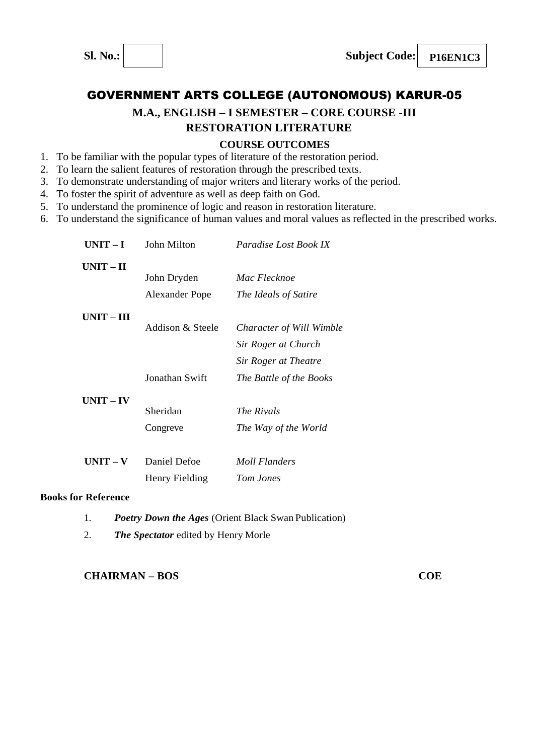

**2**

# GOVERNMENT ARTS COLLEGE (AUTONOMOUS) KARUR-05

## **M.A., ENGLISH – I SEMESTER – CORE COURSE -III RESTORATION LITERATURE**

## **COURSE OUTCOMES**

- 1. To be familiar with the popular types of literature of the restoration period.
- 2. To learn the salient features of restoration through the prescribed texts.
- 3. To demonstrate understanding of major writers and literary works of the period.
- 4. To foster the spirit of adventure as well as deep faith on God.
- 5. To understand the prominence of logic and reason in restoration literature.
- 6. To understand the significance of human values and moral values as reflected in the prescribed works.

| $UNIT-I$     | John Milton      | Paradise Lost Book IX    |
|--------------|------------------|--------------------------|
| $UNIT - II$  |                  |                          |
|              | John Dryden      | Mac Flecknoe             |
|              | Alexander Pope   | The Ideals of Satire     |
| $UNIT - III$ |                  |                          |
|              | Addison & Steele | Character of Will Wimble |
|              |                  | Sir Roger at Church      |
|              |                  | Sir Roger at Theatre     |
|              | Jonathan Swift   | The Battle of the Books  |
| $UNIT - IV$  |                  |                          |
|              | Sheridan         | The Rivals               |
|              | Congreve         | The Way of the World     |
|              |                  |                          |
| UNIT – V     | Daniel Defoe     | Moll Flanders            |
|              | Henry Fielding   | Tom Jones                |

#### **Books for Reference**

- 1. *Poetry Down the Ages* (Orient Black Swan Publication)
- 2. *The Spectator* edited by Henry Morle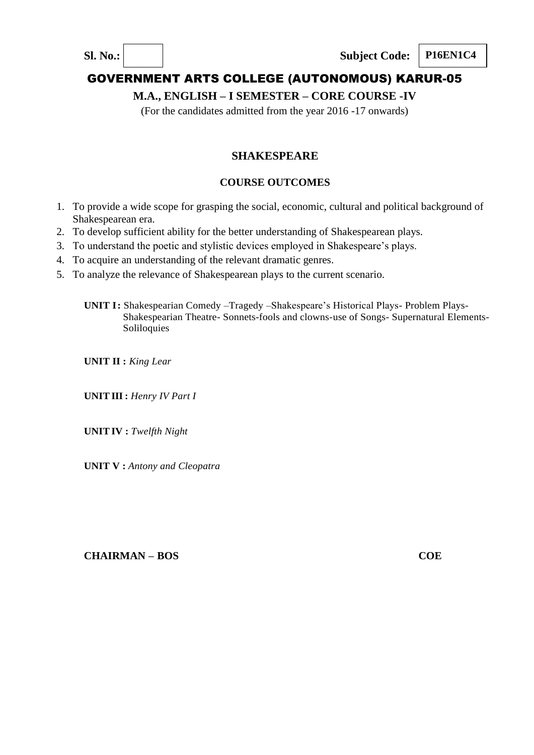

# **M.A., ENGLISH – I SEMESTER – CORE COURSE -IV**

(For the candidates admitted from the year 2016 -17 onwards)

# **SHAKESPEARE**

## **COURSE OUTCOMES**

- 1. To provide a wide scope for grasping the social, economic, cultural and political background of Shakespearean era.
- 2. To develop sufficient ability for the better understanding of Shakespearean plays.
- 3. To understand the poetic and stylistic devices employed in Shakespeare's plays.
- 4. To acquire an understanding of the relevant dramatic genres.
- 5. To analyze the relevance of Shakespearean plays to the current scenario.
	- **UNIT I:** Shakespearian Comedy –Tragedy –Shakespeare's Historical Plays- Problem Plays-Shakespearian Theatre- Sonnets-fools and clowns-use of Songs- Supernatural Elements-Soliloquies

**UNIT II :** *King Lear*

**UNIT III :** *Henry IV Part I*

**UNITIV :** *Twelfth Night*

**UNIT V :** *Antony and Cleopatra*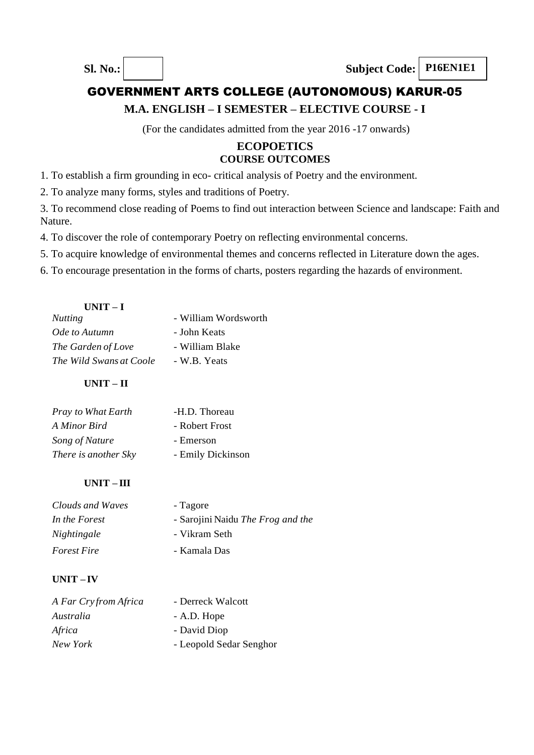## **M.A. ENGLISH – I SEMESTER – ELECTIVE COURSE - I**

(For the candidates admitted from the year 2016 -17 onwards)

## **ECOPOETICS COURSE OUTCOMES**

1. To establish a firm grounding in eco- critical analysis of Poetry and the environment.

2. To analyze many forms, styles and traditions of Poetry.

3. To recommend close reading of Poems to find out interaction between Science and landscape: Faith and Nature.

4. To discover the role of contemporary Poetry on reflecting environmental concerns.

5. To acquire knowledge of environmental themes and concerns reflected in Literature down the ages.

6. To encourage presentation in the forms of charts, posters regarding the hazards of environment.

| - William Wordsworth |
|----------------------|
| - John Keats         |
| - William Blake      |
| - W.B. Yeats         |
|                      |

## **UNIT – II**

| Pray to What Earth   | -H.D. Thoreau     |
|----------------------|-------------------|
| A Minor Bird         | - Robert Frost    |
| Song of Nature       | - Emerson         |
| There is another Sky | - Emily Dickinson |
|                      |                   |

## **UNIT – III**

| Clouds and Waves   | - Tagore                                 |
|--------------------|------------------------------------------|
| In the Forest      | - Sarojini Naidu <i>The Frog and the</i> |
| Nightingale        | - Vikram Seth                            |
| <i>Forest Fire</i> | - Kamala Das                             |

## **UNIT – IV**

| A Far Cryfrom Africa | - Derreck Walcott       |
|----------------------|-------------------------|
| Australia            | - A.D. Hope             |
| Africa               | - David Diop            |
| New York             | - Leopold Sedar Senghor |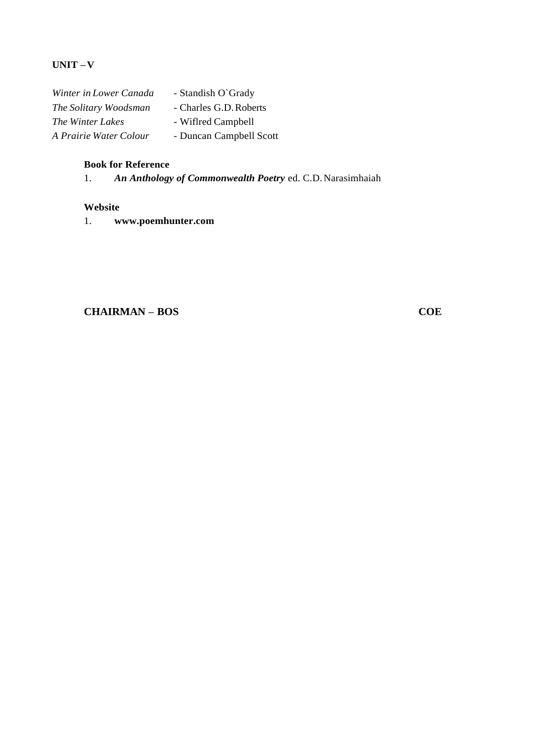## **UNIT –V**

| Winter in Lower Canada  | - Standish O'Grady      |
|-------------------------|-------------------------|
| The Solitary Woodsman   | - Charles G.D. Roberts  |
| <i>The Winter Lakes</i> | - Wiflred Campbell      |
| A Prairie Water Colour  | - Duncan Campbell Scott |

## **Book for Reference**

|  |  |  |  | An Anthology of Commonwealth Poetry ed. C.D. Narasimhaiah |
|--|--|--|--|-----------------------------------------------------------|
|--|--|--|--|-----------------------------------------------------------|

#### **Website**

1. **[www.poemhunter.com](http://www.poemhunter.com/)**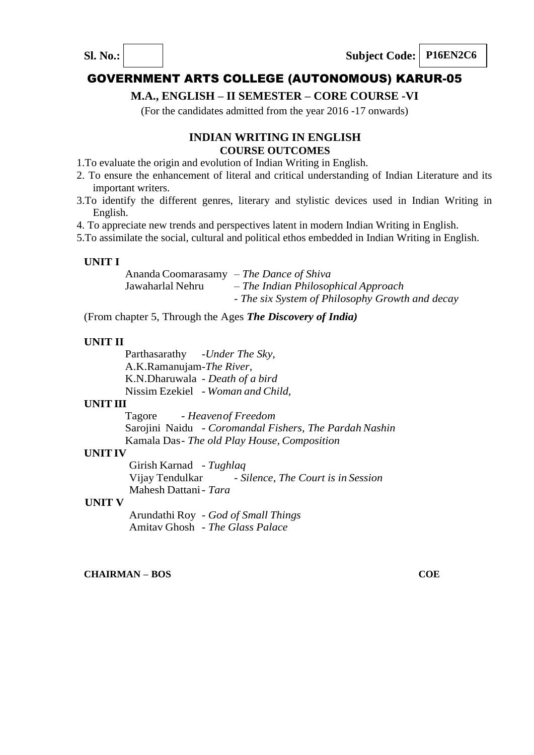## **M.A., ENGLISH – II SEMESTER – CORE COURSE -VI**

(For the candidates admitted from the year 2016 -17 onwards)

## **INDIAN WRITING IN ENGLISH COURSE OUTCOMES**

- 1.To evaluate the origin and evolution of Indian Writing in English.
- 2. To ensure the enhancement of literal and critical understanding of Indian Literature and its important writers.
- 3.To identify the different genres, literary and stylistic devices used in Indian Writing in English.
- 4. To appreciate new trends and perspectives latent in modern Indian Writing in English.
- 5.To assimilate the social, cultural and political ethos embedded in Indian Writing in English.

#### **UNIT I**

Ananda Coomarasamy – *The Dance of Shiva* Jawaharlal Nehru – *The Indian Philosophical Approach* - *The six System of Philosophy Growth and decay*

(From chapter 5, Through the Ages *The Discovery of India)*

#### **UNIT II**

Parthasarathy -*Under The Sky,* A.K.Ramanujam-*The River,* K.N.Dharuwala - *Death of a bird* Nissim Ezekiel - *Woman and Child,*

## **UNIT III**

Tagore - *Heavenof Freedom* Sarojini Naidu - *Coromandal Fishers, The Pardah Nashin* Kamala Das- *The old Play House, Composition*

#### **UNITIV**

Girish Karnad - *Tughlaq* - *Silence, The Court is in Session* Mahesh Dattani- *Tara*

#### **UNIT V**

Arundathi Roy - *God of Small Things* Amitav Ghosh - *The Glass Palace*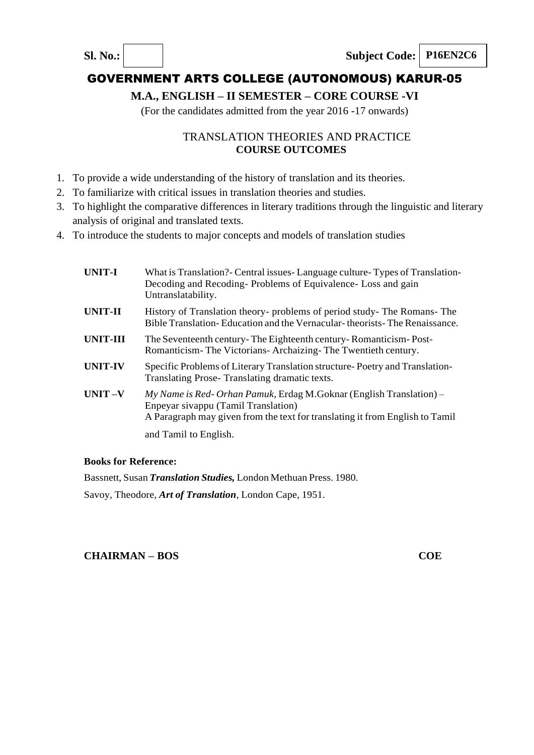# **M.A., ENGLISH – II SEMESTER – CORE COURSE -VI**

(For the candidates admitted from the year 2016 -17 onwards)

## TRANSLATION THEORIES AND PRACTICE **COURSE OUTCOMES**

- 1. To provide a wide understanding of the history of translation and its theories.
- 2. To familiarize with critical issues in translation theories and studies.
- 3. To highlight the comparative differences in literary traditions through the linguistic and literary analysis of original and translated texts.
- 4. To introduce the students to major concepts and models of translation studies

| <b>UNIT-I</b>  | What is Translation? Central issues - Language culture - Types of Translation-<br>Decoding and Recoding-Problems of Equivalence-Loss and gain<br>Untranslatability.                         |
|----------------|---------------------------------------------------------------------------------------------------------------------------------------------------------------------------------------------|
| UNIT-II        | History of Translation theory- problems of period study- The Romans- The<br>Bible Translation-Education and the Vernacular-theorists-The Renaissance.                                       |
| UNIT-III       | The Seventeenth century-The Eighteenth century-Romanticism-Post-<br>Romanticism-The Victorians-Archaizing-The Twentieth century.                                                            |
| <b>UNIT-IV</b> | Specific Problems of Literary Translation structure-Poetry and Translation-<br>Translating Prose-Translating dramatic texts.                                                                |
| $UNIT -V$      | $My Name$ is Red-Orhan Pamuk, Erdag M.Goknar (English Translation) –<br>Enpeyar sivappu (Tamil Translation)<br>A Paragraph may given from the text for translating it from English to Tamil |
|                | and Tamil to English.                                                                                                                                                                       |

## **Books for Reference:**

Bassnett, Susan *Translation Studies,* London Methuan Press. 1980. Savoy, Theodore, *Art of Translation*, London Cape, 1951.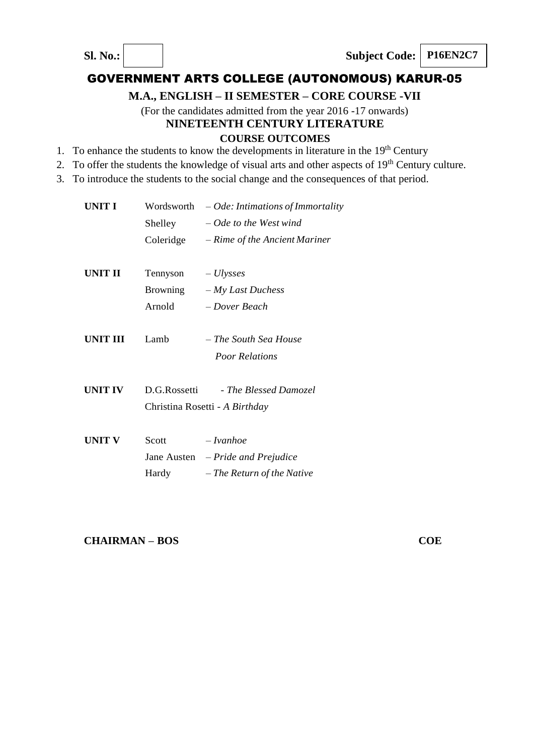## **M.A., ENGLISH – II SEMESTER – CORE COURSE -VII**

(For the candidates admitted from the year 2016 -17 onwards) **NINETEENTH CENTURY LITERATURE**

## **COURSE OUTCOMES**

- 1. To enhance the students to know the developments in literature in the  $19<sup>th</sup>$  Century
- 2. To offer the students the knowledge of visual arts and other aspects of  $19<sup>th</sup>$  Century culture.
- 3. To introduce the students to the social change and the consequences of that period.

| UNIT I         |              | Wordsworth $-$ <i>Ode: Intimations of Immortality</i> |
|----------------|--------------|-------------------------------------------------------|
|                | Shelley      | $-$ Ode to the West wind                              |
|                | Coleridge    | - Rime of the Ancient Mariner                         |
| UNIT II        | Tennyson     | $- Ulysses$                                           |
|                | Browning     | $-My$ Last Duchess                                    |
|                | Arnold       | – Dover Beach                                         |
| UNIT III       | Lamb         | – The South Sea House                                 |
|                |              | <b>Poor Relations</b>                                 |
| <b>UNIT IV</b> | D.G.Rossetti | - The Blessed Damozel                                 |
|                |              | Christina Rosetti - A Birthday                        |
| <b>UNIT V</b>  | Scott        | $-I vanhoe$                                           |
|                |              | Jane Austen $-Pride$ and Prejudice                    |
|                | Hardy        | – The Return of the Native                            |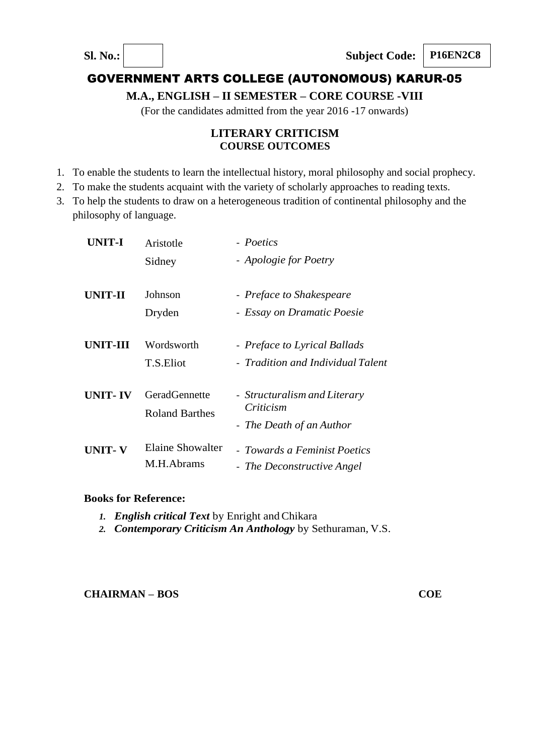## **M.A., ENGLISH – II SEMESTER – CORE COURSE -VIII**

(For the candidates admitted from the year 2016 -17 onwards)

## **LITERARY CRITICISM COURSE OUTCOMES**

- 1. To enable the students to learn the intellectual history, moral philosophy and social prophecy.
- 2. To make the students acquaint with the variety of scholarly approaches to reading texts.
- 3. To help the students to draw on a heterogeneous tradition of continental philosophy and the philosophy of language.

| UNIT-I         | Aristotle                                     | - Poetics                                                             |
|----------------|-----------------------------------------------|-----------------------------------------------------------------------|
|                | Sidney                                        | - Apologie for Poetry                                                 |
| <b>UNIT-II</b> | Johnson                                       | - Preface to Shakespeare                                              |
|                | Dryden                                        | - Essay on Dramatic Poesie                                            |
| UNIT-III       | Wordsworth                                    | - Preface to Lyrical Ballads                                          |
|                | T.S.Eliot                                     | - Tradition and Individual Talent                                     |
| <b>UNIT-IV</b> | <b>GeradGennette</b><br><b>Roland Barthes</b> | - Structuralism and Literary<br>Criticism<br>- The Death of an Author |
| UNIT- V        | Elaine Showalter<br>M.H.Abrams                | - Towards a Feminist Poetics<br>- The Deconstructive Angel            |

#### **Books for Reference:**

- 1. *English critical Text* by Enright and Chikara
- *2. Contemporary Criticism An Anthology* by Sethuraman, V.S.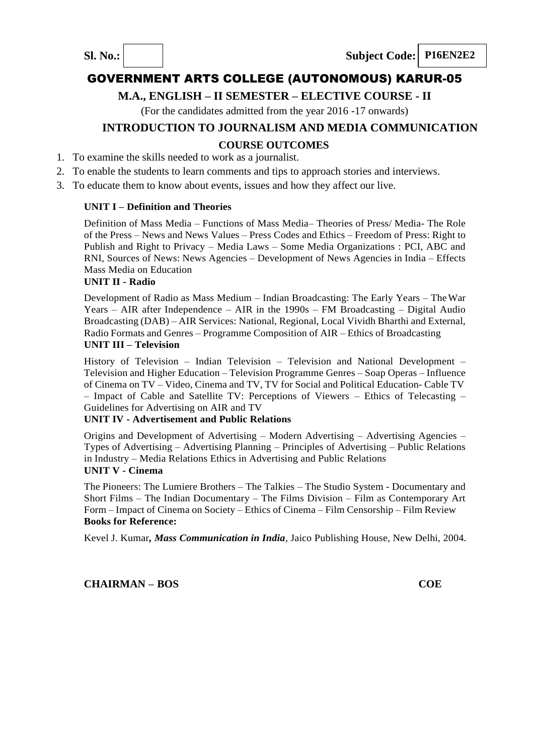## **M.A., ENGLISH – II SEMESTER – ELECTIVE COURSE - II**

(For the candidates admitted from the year 2016 -17 onwards)

## **INTRODUCTION TO JOURNALISM AND MEDIA COMMUNICATION**

## **COURSE OUTCOMES**

- 1. To examine the skills needed to work as a journalist.
- 2. To enable the students to learn comments and tips to approach stories and interviews.
- 3. To educate them to know about events, issues and how they affect our live.

## **UNIT I – Definition and Theories**

Definition of Mass Media – Functions of Mass Media– Theories of Press/ Media- The Role of the Press – News and News Values – Press Codes and Ethics – Freedom of Press: Right to Publish and Right to Privacy – Media Laws – Some Media Organizations : PCI, ABC and RNI, Sources of News: News Agencies – Development of News Agencies in India – Effects Mass Media on Education

### **UNIT II - Radio**

Development of Radio as Mass Medium – Indian Broadcasting: The Early Years – TheWar Years – AIR after Independence – AIR in the 1990s – FM Broadcasting – Digital Audio Broadcasting (DAB) – AIR Services: National, Regional, Local Vividh Bharthi and External, Radio Formats and Genres – Programme Composition of AIR – Ethics of Broadcasting **UNIT III – Television**

History of Television – Indian Television – Television and National Development – Television and Higher Education – Television Programme Genres – Soap Operas – Influence of Cinema on TV – Video, Cinema and TV, TV for Social and Political Education- Cable TV – Impact of Cable and Satellite TV: Perceptions of Viewers – Ethics of Telecasting – Guidelines for Advertising on AIR and TV

#### **UNIT IV - Advertisement and Public Relations**

Origins and Development of Advertising – Modern Advertising – Advertising Agencies – Types of Advertising – Advertising Planning – Principles of Advertising – Public Relations in Industry – Media Relations Ethics in Advertising and Public Relations **UNIT V - Cinema**

The Pioneers: The Lumiere Brothers – The Talkies – The Studio System - Documentary and Short Films – The Indian Documentary – The Films Division – Film as Contemporary Art Form – Impact of Cinema on Society – Ethics of Cinema – Film Censorship – Film Review **Books for Reference:**

Kevel J. Kumar*, Mass Communication in India*, Jaico Publishing House, New Delhi, 2004.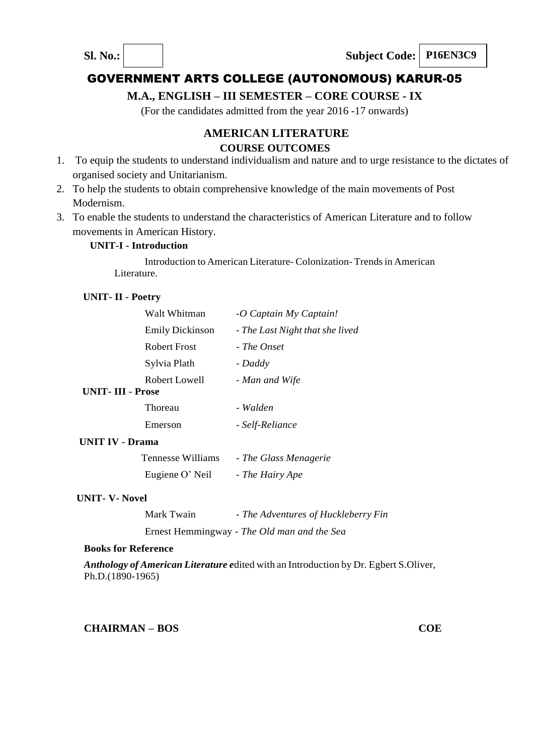## **M.A., ENGLISH – III SEMESTER – CORE COURSE - IX**

(For the candidates admitted from the year 2016 -17 onwards)

## **AMERICAN LITERATURE COURSE OUTCOMES**

- 1. To equip the students to understand individualism and nature and to urge resistance to the dictates of organised society and Unitarianism.
- 2. To help the students to obtain comprehensive knowledge of the main movements of Post Modernism.
- 3. To enable the students to understand the characteristics of American Literature and to follow movements in American History.

#### **UNIT-I - Introduction**

Introduction to American Literature- Colonization-Trends in American Literature.

#### **UNIT- II - Poetry**

|                         | Walt Whitman           | -O Captain My Captain!          |
|-------------------------|------------------------|---------------------------------|
|                         | <b>Emily Dickinson</b> | - The Last Night that she lived |
|                         | <b>Robert Frost</b>    | - The Onset                     |
|                         | Sylvia Plath           | - Daddy                         |
|                         | Robert Lowell          | - Man and Wife                  |
| <b>UNIT-III - Prose</b> |                        |                                 |
|                         | Thoreau                | - Walden                        |
|                         | Emerson                | - Self-Reliance                 |
| <b>UNIT IV - Drama</b>  |                        |                                 |
|                         | Tennesse Williams      | - The Glass Menagerie           |

| Eugiene O' Neil | - The Hairy Ape |
|-----------------|-----------------|

#### **UNIT- V- Novel**

| Mark Twain | - The Adventures of Huckleberry Fin         |
|------------|---------------------------------------------|
|            | Ernest Hemmingway - The Old man and the Sea |

#### **Books for Reference**

*Anthology of American Literature e*dited with an Introduction by Dr. Egbert S.Oliver, Ph.D.(1890-1965)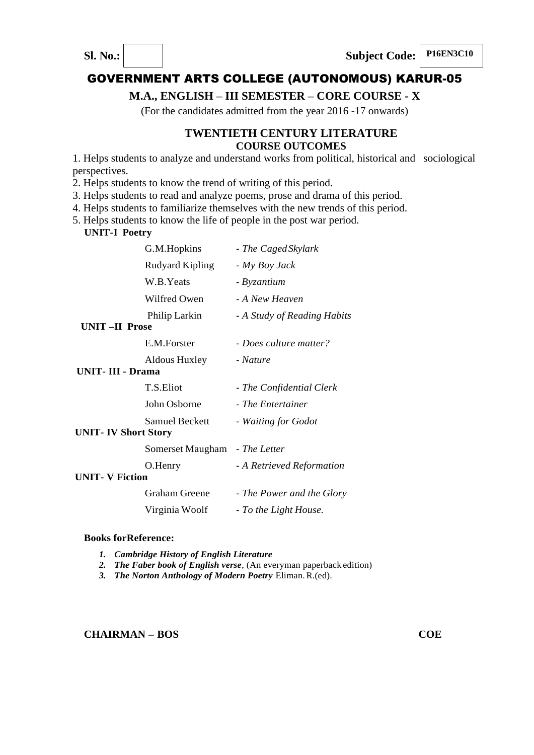

## **M.A., ENGLISH – III SEMESTER – CORE COURSE - X**

(For the candidates admitted from the year 2016 -17 onwards)

## **TWENTIETH CENTURY LITERATURE COURSE OUTCOMES**

1. Helps students to analyze and understand works from political, historical and sociological perspectives.

2. Helps students to know the trend of writing of this period.

3. Helps students to read and analyze poems, prose and drama of this period.

4. Helps students to familiarize themselves with the new trends of this period.

5. Helps students to know the life of people in the post war period.

 **UNIT-I Poetry**

| G.M.Hopkins                                         | - The Caged Skylark         |
|-----------------------------------------------------|-----------------------------|
| Rudyard Kipling                                     | - My Boy Jack               |
| W.B.Yeats                                           | - Byzantium                 |
| Wilfred Owen                                        | - A New Heaven              |
| Philip Larkin<br><b>UNIT-II Prose</b>               | - A Study of Reading Habits |
| E.M.Forster                                         | - Does culture matter?      |
| Aldous Huxley<br><b>UNIT</b> -III - Drama           | - Nature                    |
| T.S.Eliot                                           | - The Confidential Clerk    |
| John Osborne                                        | - The Entertainer           |
| <b>Samuel Beckett</b><br><b>UNIT-IV Short Story</b> | - Waiting for Godot         |
| Somerset Maugham - The Letter                       |                             |
| O.Henry                                             | - A Retrieved Reformation   |
| <b>UNIT- V Fiction</b>                              |                             |
| <b>Graham Greene</b>                                | - The Power and the Glory   |
| Virginia Woolf                                      | - To the Light House.       |
|                                                     |                             |

#### **Books forReference:**

- *1. Cambridge History of English Literature*
- *2. The Faber book of English verse*, (An everyman paperback edition)
- *3. The Norton Anthology of Modern Poetry* Eliman.R.(ed).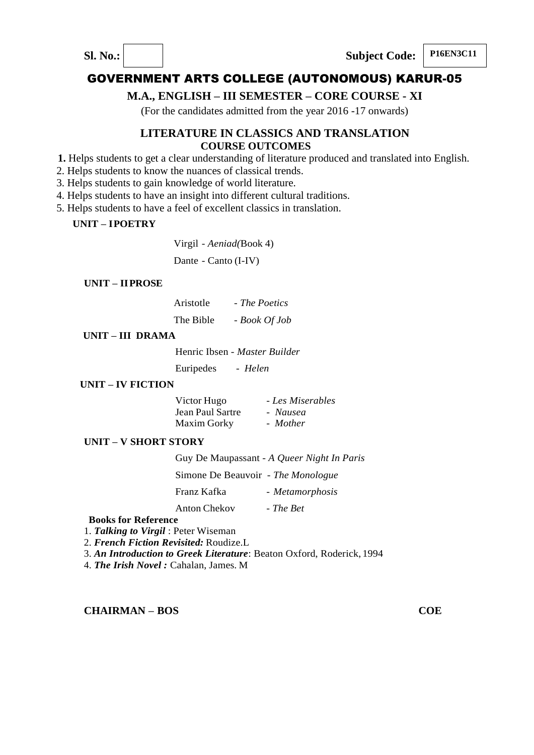



## **M.A., ENGLISH – III SEMESTER – CORE COURSE - XI**

(For the candidates admitted from the year 2016 -17 onwards)

## **LITERATURE IN CLASSICS AND TRANSLATION COURSE OUTCOMES**

- **1.** Helps students to get a clear understanding of literature produced and translated into English.
- 2. Helps students to know the nuances of classical trends.
- 3. Helps students to gain knowledge of world literature.
- 4. Helps students to have an insight into different cultural traditions.
- 5. Helps students to have a feel of excellent classics in translation.

#### **UNIT – IPOETRY**

Virgil - *Aeniad(*Book 4)

Dante - Canto (I-IV)

#### **UNIT – IIPROSE**

Aristotle - *The Poetics* The Bible *- Book Of Job*

#### **UNIT – III DRAMA**

Henric Ibsen - *Master Builder*

Euripedes - *Helen*

#### **UNIT – IV FICTION**

| Victor Hugo        | - Les Miserables |
|--------------------|------------------|
| Jean Paul Sartre   | - Nausea         |
| <b>Maxim Gorky</b> | - Mother         |

#### **UNIT – V SHORT STORY**

|                                    | Guy De Maupassant - A Queer Night In Paris |
|------------------------------------|--------------------------------------------|
| Simone De Beauvoir - The Monologue |                                            |
| Franz Kafka                        | - Metamorphosis                            |
| Anton Chekov                       | - The Bet                                  |

#### **Books for Reference**

1. *Talking to Virgil* : Peter Wiseman

2. *French Fiction Revisited:* Roudize.L

3. *An Introduction to Greek Literature*: Beaton Oxford, Roderick, 1994

4. *The Irish Novel :* Cahalan, James. M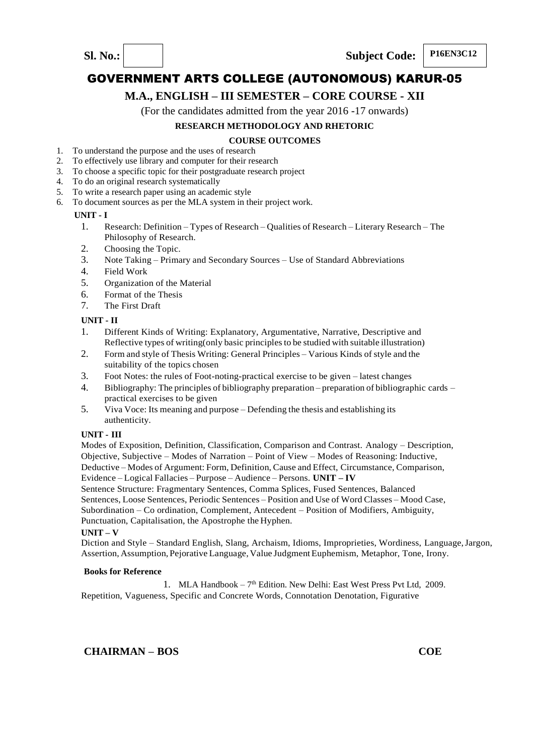

## **M.A., ENGLISH – III SEMESTER – CORE COURSE - XII**

(For the candidates admitted from the year 2016 -17 onwards)

#### **RESEARCH METHODOLOGY AND RHETORIC**

#### **COURSE OUTCOMES**

- 1. To understand the purpose and the uses of research
- 2. To effectively use library and computer for their research
- 3. To choose a specific topic for their postgraduate research project
- 4. To do an original research systematically
- 5. To write a research paper using an academic style
- 6. To document sources as per the MLA system in their project work.

#### **UNIT - I**

- 1. Research: Definition Types of Research Qualities of Research Literary Research The Philosophy of Research.
- 2. Choosing the Topic.<br>3. Note Taking Prima
- 3. Note Taking Primary and Secondary Sources Use of Standard Abbreviations
- Field Work
- 5. Organization of the Material
- 6. Format of the Thesis
- 7. The First Draft

#### **UNIT - II**

- 1. Different Kinds of Writing: Explanatory, Argumentative, Narrative, Descriptive and Reflective types of writing(only basic principles to be studied with suitable illustration)
- 2. Form and style of Thesis Writing: General Principles Various Kinds of style and the suitability of the topics chosen
- 3. Foot Notes: the rules of Foot-noting-practical exercise to be given latest changes
- 4. Bibliography: The principles of bibliography preparation preparation of bibliographic cards practical exercises to be given
- 5. Viva Voce: Its meaning and purpose Defending the thesis and establishing its authenticity.

#### **UNIT - III**

Modes of Exposition, Definition, Classification, Comparison and Contrast. Analogy – Description, Objective, Subjective – Modes of Narration – Point of View – Modes of Reasoning: Inductive, Deductive – Modes of Argument: Form, Definition, Cause and Effect, Circumstance, Comparison, Evidence – Logical Fallacies – Purpose – Audience – Persons. **UNIT – IV**

Sentence Structure: Fragmentary Sentences, Comma Splices, Fused Sentences, Balanced Sentences, Loose Sentences, Periodic Sentences – Position and Use of Word Classes – Mood Case, Subordination – Co ordination, Complement, Antecedent – Position of Modifiers, Ambiguity, Punctuation, Capitalisation, the Apostrophe the Hyphen.

#### **UNIT – V**

Diction and Style – Standard English, Slang, Archaism, Idioms, Improprieties, Wordiness, Language,Jargon, Assertion, Assumption, Pejorative Language, Value JudgmentEuphemism, Metaphor, Tone, Irony.

#### **Books for Reference**

1. MLA Handbook - 7<sup>th</sup> Edition. New Delhi: East West Press Pvt Ltd, 2009. Repetition, Vagueness, Specific and Concrete Words, Connotation Denotation, Figurative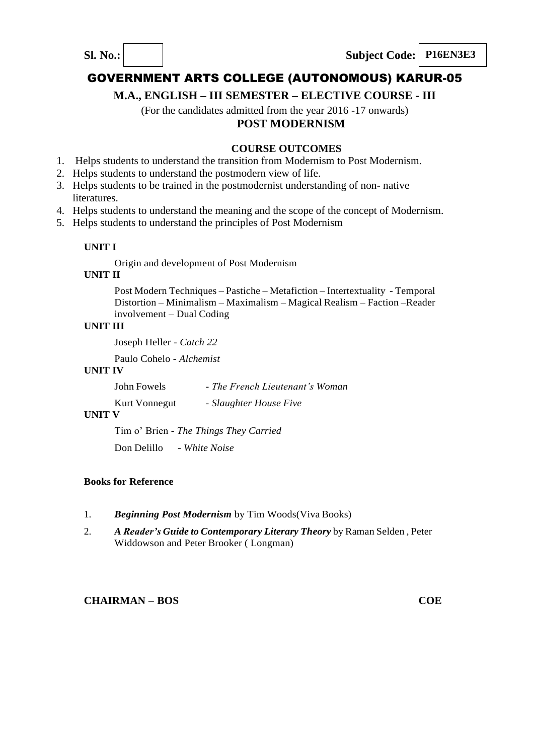

**M.A., ENGLISH – III SEMESTER – ELECTIVE COURSE - III**

(For the candidates admitted from the year 2016 -17 onwards)

# **POST MODERNISM**

#### **COURSE OUTCOMES**

- 1. Helps students to understand the transition from Modernism to Post Modernism.
- 2. Helps students to understand the postmodern view of life.
- 3. Helps students to be trained in the postmodernist understanding of non- native literatures.
- 4. Helps students to understand the meaning and the scope of the concept of Modernism.
- 5. Helps students to understand the principles of Post Modernism

#### **UNIT I**

Origin and development of Post Modernism

#### **UNIT II**

Post Modern Techniques – Pastiche – Metafiction – Intertextuality - Temporal Distortion – Minimalism – Maximalism – Magical Realism – Faction –Reader involvement – Dual Coding

#### **UNIT III**

Joseph Heller - *Catch 22*

Paulo Cohelo - *Alchemist*

#### **UNIT IV**

| - The French Lieutenant's Woman<br>John Fowels |
|------------------------------------------------|
|------------------------------------------------|

Kurt Vonnegut - *Slaughter House Five*

#### **UNIT V**

Tim o' Brien - *The Things They Carried*

Don Delillo - *White Noise*

#### **Books for Reference**

- 1. *Beginning Post Modernism* by Tim Woods(Viva Books)
- 2. *A Reader's Guide to Contemporary Literary Theory* by Raman Selden , Peter Widdowson and Peter Brooker ( Longman)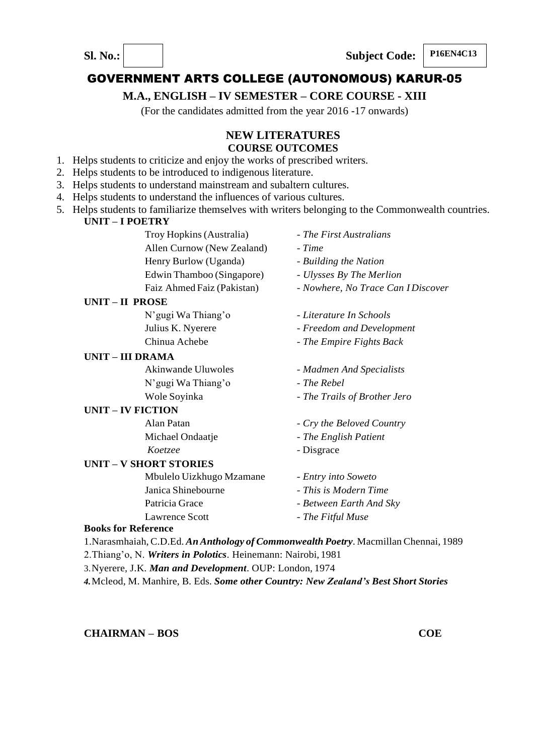## **M.A., ENGLISH – IV SEMESTER – CORE COURSE - XIII**

(For the candidates admitted from the year 2016 -17 onwards)

## **NEW LITERATURES COURSE OUTCOMES**

- 1. Helps students to criticize and enjoy the works of prescribed writers.
- 2. Helps students to be introduced to indigenous literature.
- 3. Helps students to understand mainstream and subaltern cultures.
- 4. Helps students to understand the influences of various cultures.
- 5. Helps students to familiarize themselves with writers belonging to the Commonwealth countries.  **UNIT – I POETRY**

|                            | Troy Hopkins (Australia)      | - The First Australians            |
|----------------------------|-------------------------------|------------------------------------|
|                            | Allen Curnow (New Zealand)    | - Time                             |
|                            | Henry Burlow (Uganda)         | - Building the Nation              |
|                            | Edwin Thamboo (Singapore)     | - Ulysses By The Merlion           |
|                            | Faiz Ahmed Faiz (Pakistan)    | - Nowhere, No Trace Can I Discover |
| UNIT-II PROSE              |                               |                                    |
|                            | N'gugi Wa Thiang'o            | - Literature In Schools            |
|                            | Julius K. Nyerere             | - Freedom and Development          |
|                            | Chinua Achebe                 | - The Empire Fights Back           |
| <b>UNIT - III DRAMA</b>    |                               |                                    |
|                            | <b>Akinwande Uluwoles</b>     | - Madmen And Specialists           |
|                            | N'gugi Wa Thiang'o            | - The Rebel                        |
|                            | Wole Soyinka                  | - The Trails of Brother Jero       |
| <b>UNIT – IV FICTION</b>   |                               |                                    |
|                            | Alan Patan                    | - Cry the Beloved Country          |
|                            | Michael Ondaatje              | - The English Patient              |
|                            | Koetzee                       | - Disgrace                         |
|                            | <b>UNIT - V SHORT STORIES</b> |                                    |
|                            | Mbulelo Uizkhugo Mzamane      | - Entry into Soweto                |
|                            | Janica Shinebourne            | - This is Modern Time              |
|                            | Patricia Grace                | - Between Earth And Sky            |
|                            | Lawrence Scott                | - The Fitful Muse                  |
| <b>Books for Reference</b> |                               |                                    |

# 1.Narasmhaiah, C.D.Ed. *AnAnthology of Commonwealth Poetry*. Macmillan Chennai, 1989

2.Thiang'o, N. *Writers in Polotics*. Heinemann: Nairobi, 1981

3.Nyerere, J.K. *Man and Development*. OUP: London, 1974

*4.*Mcleod, M. Manhire, B. Eds. *Some other Country: New Zealand's Best Short Stories*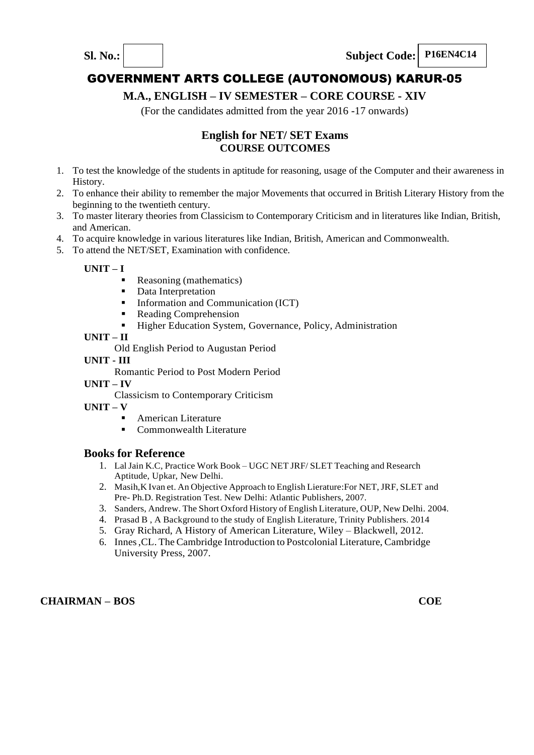

# **M.A., ENGLISH – IV SEMESTER – CORE COURSE - XIV**

(For the candidates admitted from the year 2016 -17 onwards)

## **English for NET/ SET Exams COURSE OUTCOMES**

- 1. To test the knowledge of the students in aptitude for reasoning, usage of the Computer and their awareness in History.
- 2. To enhance their ability to remember the major Movements that occurred in British Literary History from the beginning to the twentieth century.
- 3. To master literary theories from Classicism to Contemporary Criticism and in literatures like Indian, British, and American.
- 4. To acquire knowledge in various literatures like Indian, British, American and Commonwealth.
- 5. To attend the NET/SET, Examination with confidence.

**UNIT – I**

- Reasoning (mathematics)
	- Data Interpretation
	- **Information and Communication (ICT)**
	- Reading Comprehension
	- Higher Education System, Governance, Policy, Administration

#### **UNIT – II**

Old English Period to Augustan Period

#### **UNIT - III**

Romantic Period to Post Modern Period

- **UNIT – IV**
	- Classicism to Contemporary Criticism
- **UNIT – V**
	- American Literature
	- Commonwealth Literature

#### **Books for Reference**

- 1. LalJain K.C, Practice Work Book UGC NET JRF/ SLET Teaching and Research Aptitude, Upkar, New Delhi.
- 2. Masih,K Ivan et. An Objective Approach to English Lierature:For NET,JRF, SLET and Pre- Ph.D. Registration Test. New Delhi: Atlantic Publishers, 2007.
- 3. Sanders, Andrew. The Short Oxford History of English Literature, OUP, New Delhi. 2004.
- 4. Prasad B , A Background to the study of English Literature, Trinity Publishers. 2014
- 5. Gray Richard, A History of American Literature, Wiley Blackwell, 2012.
- 6. Innes,CL. The Cambridge Introduction to Postcolonial Literature, Cambridge University Press, 2007.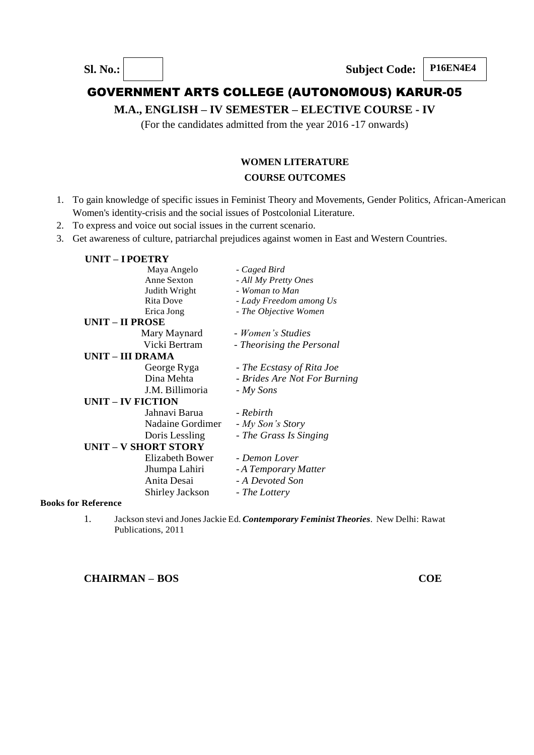**M.A., ENGLISH – IV SEMESTER – ELECTIVE COURSE - IV**

(For the candidates admitted from the year 2016 -17 onwards)

## **WOMEN LITERATURE COURSE OUTCOMES**

- 1. To gain knowledge of specific issues in Feminist Theory and Movements, Gender Politics, African-American Women's identity-crisis and the social issues of Postcolonial Literature.
- 2. To express and voice out social issues in the current scenario.
- 3. Get awareness of culture, patriarchal prejudices against women in East and Western Countries.

| <b>UNIT – I POETRY</b>   |                             |                              |
|--------------------------|-----------------------------|------------------------------|
|                          | Maya Angelo                 | - Caged Bird                 |
|                          | Anne Sexton                 | - All My Pretty Ones         |
|                          | Judith Wright               | - Woman to Man               |
|                          | <b>Rita Dove</b>            | - Lady Freedom among Us      |
|                          | Erica Jong                  | - The Objective Women        |
| <b>UNIT - II PROSE</b>   |                             |                              |
|                          | Mary Maynard                | - Women's Studies            |
|                          | Vicki Bertram               | - Theorising the Personal    |
| UNIT – III DRAMA         |                             |                              |
|                          | George Ryga                 | - The Ecstasy of Rita Joe    |
|                          | Dina Mehta                  | - Brides Are Not For Burning |
|                          | J.M. Billimoria             | $-My$ Sons                   |
| <b>UNIT – IV FICTION</b> |                             |                              |
|                          | Jahnavi Barua               | - Rebirth                    |
|                          | Nadaine Gordimer            | - My Son's Story             |
|                          | Doris Lessling              | - The Grass Is Singing       |
|                          | <b>UNIT - V SHORT STORY</b> |                              |
|                          | Elizabeth Bower             | - Demon Lover                |
|                          | Jhumpa Lahiri               | - A Temporary Matter         |
|                          | Anita Desai                 | - A Devoted Son              |
|                          | Shirley Jackson             | - The Lottery                |
| n Dofonongo              |                             |                              |

- **Books for Reference**
	- 1. Jackson stevi and JonesJackie Ed. *Contemporary Feminist Theories*. New Delhi: Rawat Publications, 2011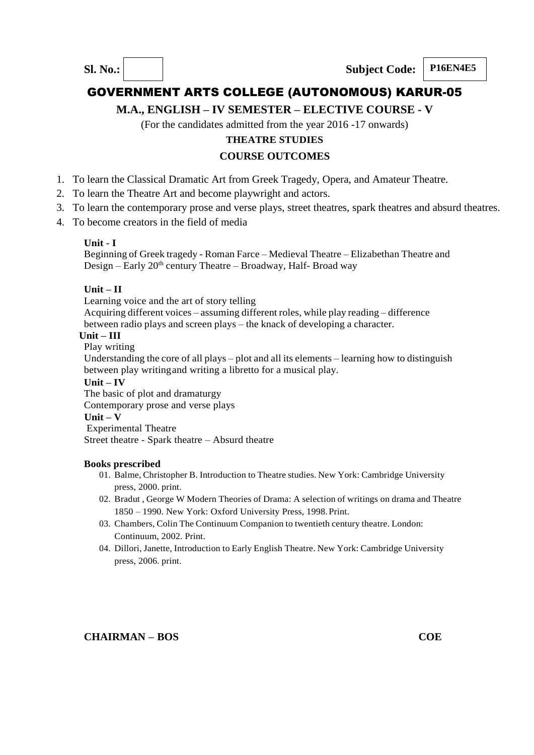**M.A., ENGLISH – IV SEMESTER – ELECTIVE COURSE - V**

(For the candidates admitted from the year 2016 -17 onwards)

## **THEATRE STUDIES**

## **COURSE OUTCOMES**

- 1. To learn the Classical Dramatic Art from Greek Tragedy, Opera, and Amateur Theatre.
- 2. To learn the Theatre Art and become playwright and actors.
- 3. To learn the contemporary prose and verse plays, street theatres, spark theatres and absurd theatres.
- 4. To become creators in the field of media

#### **Unit - I**

Beginning of Greek tragedy - Roman Farce – Medieval Theatre – Elizabethan Theatre and Design – Early  $20<sup>th</sup>$  century Theatre – Broadway, Half- Broad way

## **Unit – II**

Learning voice and the art of story telling

Acquiring different voices – assuming different roles, while play reading – difference between radio plays and screen plays – the knack of developing a character.

#### **Unit – III**

Play writing

Understanding the core of all plays – plot and all its elements – learning how to distinguish between play writingand writing a libretto for a musical play.

#### **Unit – IV**

The basic of plot and dramaturgy Contemporary prose and verse plays

## **Unit – V**

Experimental Theatre

Street theatre - Spark theatre – Absurd theatre

#### **Books prescribed**

- 01. Balme, Christopher B. Introduction to Theatre studies. New York: Cambridge University press, 2000. print.
- 02. Bradut , George W Modern Theories of Drama: A selection of writings on drama and Theatre 1850 – 1990. New York: Oxford University Press, 1998.Print.
- 03. Chambers, Colin The Continuum Companion to twentieth century theatre. London: Continuum, 2002. Print.
- 04. Dillori, Janette, Introduction to Early English Theatre. New York: Cambridge University press, 2006. print.